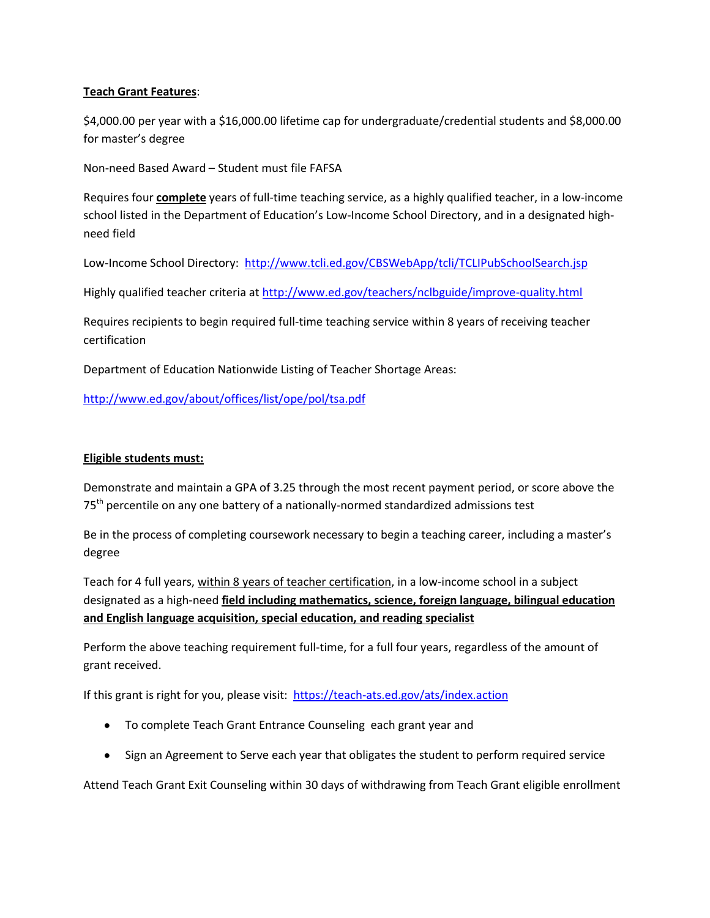## **Teach Grant Features**:

\$4,000.00 per year with a \$16,000.00 lifetime cap for undergraduate/credential students and \$8,000.00 for master's degree

Non-need Based Award – Student must file FAFSA

Requires four **complete** years of full-time teaching service, as a highly qualified teacher, in a low-income school listed in the Department of Education's Low-Income School Directory, and in a designated highneed field

Low-Income School Directory: <http://www.tcli.ed.gov/CBSWebApp/tcli/TCLIPubSchoolSearch.jsp>

Highly qualified teacher criteria at<http://www.ed.gov/teachers/nclbguide/improve-quality.html>

Requires recipients to begin required full-time teaching service within 8 years of receiving teacher certification

Department of Education Nationwide Listing of Teacher Shortage Areas:

<http://www.ed.gov/about/offices/list/ope/pol/tsa.pdf>

## **Eligible students must:**

Demonstrate and maintain a GPA of 3.25 through the most recent payment period, or score above the 75<sup>th</sup> percentile on any one battery of a nationally-normed standardized admissions test

Be in the process of completing coursework necessary to begin a teaching career, including a master's degree

Teach for 4 full years, within 8 years of teacher certification, in a low-income school in a subject designated as a high-need **field including mathematics, science, foreign language, bilingual education and English language acquisition, special education, and reading specialist**

Perform the above teaching requirement full-time, for a full four years, regardless of the amount of grant received.

If this grant is right for you, please visit: <https://teach-ats.ed.gov/ats/index.action>

- To complete Teach Grant Entrance Counseling each grant year and
- Sign an Agreement to Serve each year that obligates the student to perform required service

Attend Teach Grant Exit Counseling within 30 days of withdrawing from Teach Grant eligible enrollment